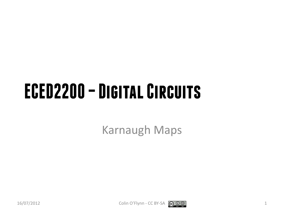# **ECED2200 –Digital Circuits**

Karnaugh Maps



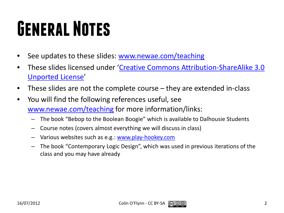# **General Notes**

- See updates to these slides: [www.newae.com/teaching](http://www.newae.com/teaching)
- These slides licensed under '[Creative Commons Attribution-ShareAlike](http://creativecommons.org/licenses/by-sa/3.0/) 3.0 [Unported](http://creativecommons.org/licenses/by-sa/3.0/) License'
- These slides are not the complete course they are extended in-class
- You will find the following references useful, see [www.newae.com/teaching](http://www.newae.com/teaching) for more information/links:
	- The book "Bebop to the Boolean Boogie" which is available to Dalhousie Students
	- Course notes (covers almost everything we will discuss in class)
	- Various websites such as e.g.: [www.play-hookey.com](http://www.play-hookey.com/)
	- The book "Contemporary Logic Design", which was used in previous iterations of the class and you may have already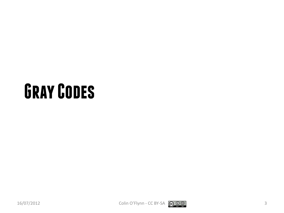# **Gray Codes**





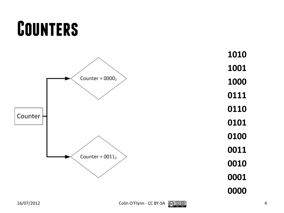# **Counters**

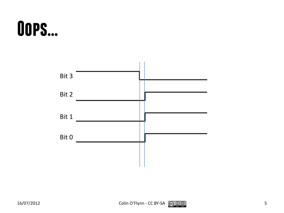## **Oops…**

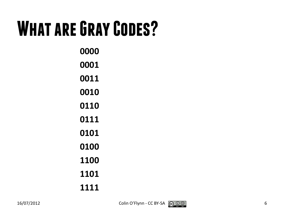# **What are Gray Codes?**

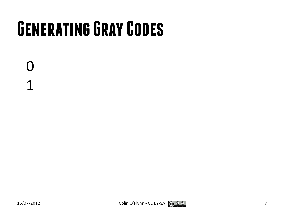# **Generating Gray Codes**

0 1

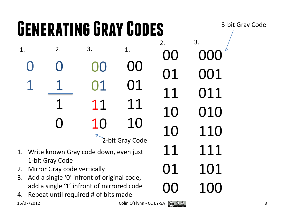#### **Generating Gray Codes**  $16/07/2012$  Colin O'Flynn - CC BY-SA  $\bigodot \bigodot \bigodot$   $\bigodot$   $\bigodot$   $\bigodot$  8 1. 2. 3. 1. 2. 3. 3-bit Gray Code 2-bit Gray Code 1. Write known Gray code down, even just 1-bit Gray Code 2. Mirror Gray code vertically 3. Add a single '0' infront of original code, add a single '1' infront of mirrored code 4. Repeat until required # of bits made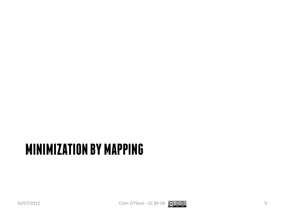### **MINIMIZATION BY MAPPING**



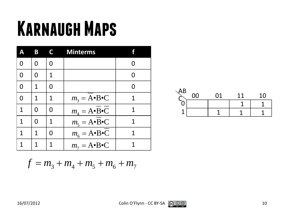# **Karnaugh Maps**

| Δ | B | C | <b>Minterms</b>           |   |
|---|---|---|---------------------------|---|
| 0 | O | N |                           |   |
|   |   | 1 |                           | O |
| 0 | 1 | O |                           |   |
| 0 | 1 | 1 | $m_3 = A \cdot B \cdot C$ | 1 |
| 1 | O | O | $m_4 = A \cdot B \cdot C$ | 1 |
| 1 | O | 1 | $m_5 = A \cdot B \cdot C$ | 1 |
| 1 | 1 | O | $m_6 = A \cdot B \cdot C$ | 1 |
|   | 1 | 1 | $m_7 = A \cdot B \cdot C$ |   |



$$
f = m_3 + m_4 + m_5 + m_6 + m_7
$$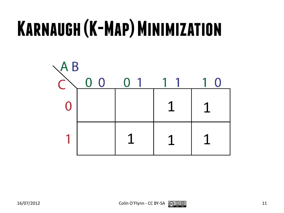# **Karnaugh(K-Map) Minimization**

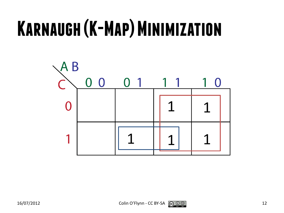# **Karnaugh(K-Map) Minimization**

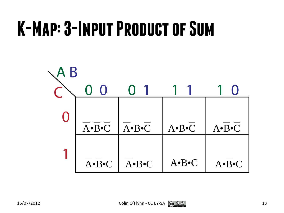# **K-Map: 3-Input Product of Sum**

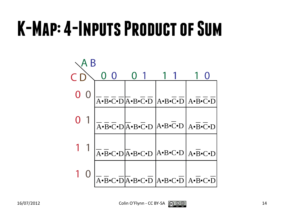# **K-Map: 4-Inputs Product of Sum**

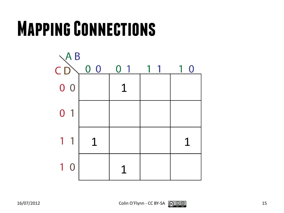

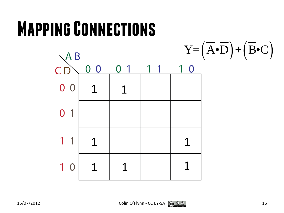

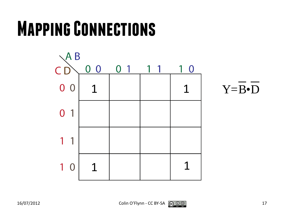



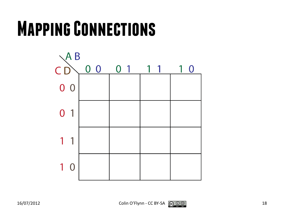

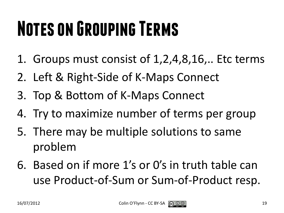# **Notes on Grouping Terms**

- 1. Groups must consist of 1,2,4,8,16,.. Etc terms
- 2. Left & Right-Side of K-Maps Connect
- 3. Top & Bottom of K-Maps Connect
- 4. Try to maximize number of terms per group
- 5. There may be multiple solutions to same problem
- 6. Based on if more 1's or 0's in truth table can use Product-of-Sum or Sum-of-Product resp.

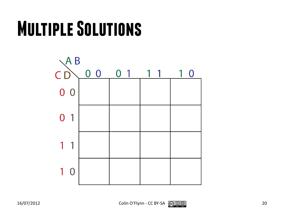# **Multiple Solutions**



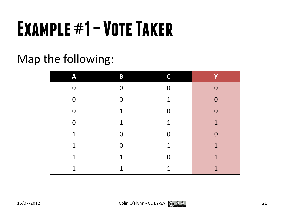# **Example #1 –Vote Taker**

#### Map the following:

| Α        | B | ┍        |                |
|----------|---|----------|----------------|
| $\Omega$ |   | $\Omega$ | $\Omega$       |
| $\Omega$ | ∩ | 1        | $\Omega$       |
| $\Omega$ | 1 | ⋂        | $\Omega$       |
| $\Omega$ | 1 | 1        | $\overline{1}$ |
| 1        |   | N        | $\overline{0}$ |
| 1        |   | 1        | 1              |
| 1        | 1 | N        | 1              |
| 1        |   | я        | 1              |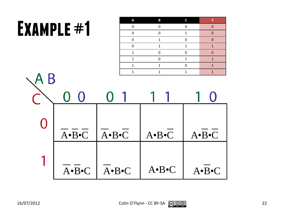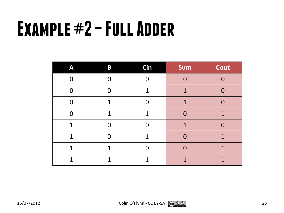# **Example #2 –Full Adder**

| Α | $\bf{B}$ | <b>Cin</b> | <b>Sum</b> | Cout     |
|---|----------|------------|------------|----------|
| ∩ |          |            | O          | $\Omega$ |
| ∩ |          |            |            | $\Omega$ |
| ⋂ | 1        |            |            | $\Omega$ |
| N | 1        | 1          | 0          | 1        |
| 1 | O        | O          | 1          | $\Omega$ |
| 1 |          | 1          | O          | 1        |
| 1 | 1        |            | O          | 1        |
|   |          |            |            |          |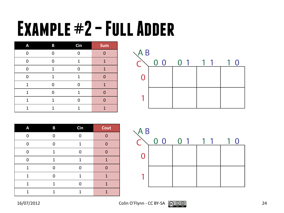# **Example #2 –Full Adder**

| A | B | Cin | Sum |
|---|---|-----|-----|
| 0 |   |     | ∩   |
| 0 |   | 1   | 1   |
| O | 1 | n   | 1   |
| 0 | 1 | 1   | ∩   |
| 1 | U | ∩   | 1   |
| 1 | n | 1   |     |
| 1 | 1 |     |     |
| 1 | 1 |     | 1   |

| $\setminus$ AB |                |                |   |
|----------------|----------------|----------------|---|
|                | 0 <sub>0</sub> | 0 <sub>1</sub> | U |
| 0              |                |                |   |
|                |                |                |   |

| A | B | Cin | Cout |
|---|---|-----|------|
| 0 |   |     |      |
| 0 | Ω | 1   | U    |
| 0 | 1 | በ   |      |
| O | 1 | 1   | 1    |
| 1 |   |     |      |
| 1 |   | 1   | 1    |
| 1 | 1 |     | 1    |
|   |   |     |      |

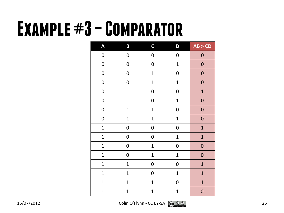# **Example #3 –Comparator**

| A                | B                | $\mathsf C$      | D                | AB > CD          |
|------------------|------------------|------------------|------------------|------------------|
| $\pmb{0}$        | $\boldsymbol{0}$ | $\boldsymbol{0}$ | $\boldsymbol{0}$ | $\boldsymbol{0}$ |
| $\boldsymbol{0}$ | $\mathbf 0$      | $\boldsymbol{0}$ | $\mathbf 1$      | $\mathbf 0$      |
| $\boldsymbol{0}$ | $\boldsymbol{0}$ | $\mathbf 1$      | $\boldsymbol{0}$ | $\mathbf 0$      |
| $\pmb{0}$        | $\mathbf 0$      | $\mathbf 1$      | $\mathbf 1$      | ${\bf 0}$        |
| $\pmb{0}$        | $\mathbf 1$      | $\pmb{0}$        | $\mathbf 0$      | $\mathbf 1$      |
| $\pmb{0}$        | $\overline{1}$   | $\boldsymbol{0}$ | $\mathbf 1$      | $\mathbf 0$      |
| $\boldsymbol{0}$ | $\mathbf 1$      | $\mathbf 1$      | $\boldsymbol{0}$ | $\boldsymbol{0}$ |
| $\boldsymbol{0}$ | $\mathbf 1$      | $\mathbf{1}$     | $\mathbf 1$      | ${\bf 0}$        |
| $\mathbf{1}$     | $\boldsymbol{0}$ | $\boldsymbol{0}$ | $\mathbf 0$      | $\mathbf{1}$     |
| $\mathbf{1}$     | 0                | $\boldsymbol{0}$ | $\mathbf{1}$     | $\mathbf{1}$     |
| $\mathbf 1$      | $\boldsymbol{0}$ | $\mathbf 1$      | $\boldsymbol{0}$ | $\mathbf{0}$     |
| $\mathbf 1$      | 0                | $\mathbf 1$      | $\mathbf 1$      | $\boldsymbol{0}$ |
| $\mathbf{1}$     | $\mathbf{1}$     | $\boldsymbol{0}$ | $\mathbf 0$      | $\mathbf{1}$     |
| $\mathbf{1}$     | $\mathbf 1$      | $\boldsymbol{0}$ | $\mathbf 1$      | $\overline{1}$   |
| $\mathbf{1}$     | $\mathbf{1}$     | $\mathbf{1}$     | 0                | $\overline{1}$   |
| $\overline{1}$   | $\mathbf 1$      | $\overline{1}$   | $\mathbf{1}$     | $\mathbf{0}$     |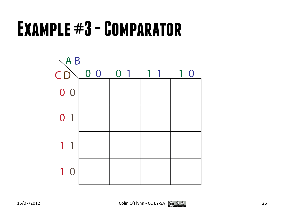# **Example #3 -Comparator**



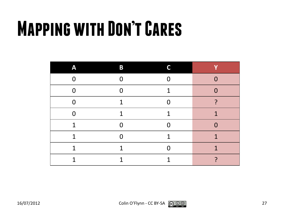# **Mapping with Don't Cares**

| Δ | B | ┍ |   |
|---|---|---|---|
| ∩ |   | Λ | O |
| ∩ |   | 1 | ⋂ |
| ⋂ |   | n | ┑ |
| N |   | 1 | 1 |
| 1 |   | Λ | U |
| 1 |   | 1 | 1 |
| 1 |   |   | 1 |
| ◂ |   |   |   |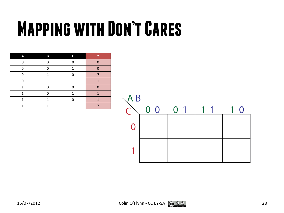# **Mapping with Don't Cares**

| Δ | В | ┍ |  |
|---|---|---|--|
| ∩ | ∩ |   |  |
| n |   | 1 |  |
| n |   |   |  |
| n |   | 1 |  |
|   |   | ∩ |  |
|   |   |   |  |
|   |   |   |  |
|   |   |   |  |

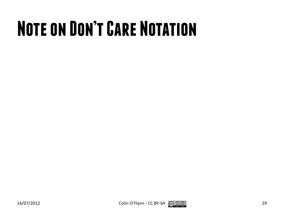# **Note on Don't Care Notation**



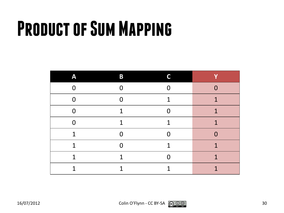# **Product of Sum Mapping**

| Δ           | B |   | v |
|-------------|---|---|---|
| U           |   | ∩ | O |
| $\Omega$    |   | 1 | 1 |
| U           | я | N | 1 |
| ∩           | 1 | 1 | 1 |
| 1           |   | N | O |
| 1           |   | 1 | 1 |
| $\mathbf 1$ | я | N | 1 |
| 1           |   |   | 1 |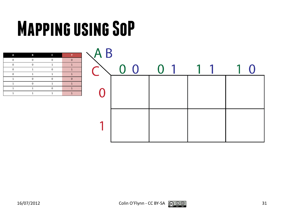# **Mapping using SoP**

| Δ | B | r |  |
|---|---|---|--|
|   |   |   |  |
|   |   |   |  |
|   |   |   |  |
|   |   |   |  |
|   |   |   |  |
|   |   |   |  |
|   |   |   |  |
|   |   |   |  |

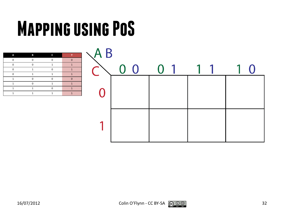# **Mapping using PoS**

| Δ | в | r |  |
|---|---|---|--|
| n | n | n |  |
| n |   |   |  |
| n |   | n |  |
| n |   |   |  |
|   |   | П |  |
|   |   |   |  |
|   |   |   |  |
|   |   |   |  |

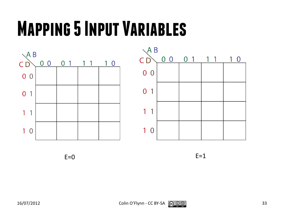# **Mapping 5 Input Variables**





 $E=0$   $E=1$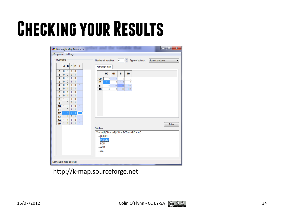# **Checking your Results**

| Program Settings |                |              |              |              |              |  |           |             |                        |     |     |                                          |                   |                 |       |
|------------------|----------------|--------------|--------------|--------------|--------------|--|-----------|-------------|------------------------|-----|-----|------------------------------------------|-------------------|-----------------|-------|
| Truth table      |                |              |              |              |              |  |           |             | Number of variables: 4 |     | 측   |                                          | Type of solution: | Sum of products |       |
|                  | $\mathbf{A}$   | B            | c            | D            | f            |  |           | Kamaugh map |                        |     |     |                                          |                   |                 |       |
| $\bf{0}$         | 0              | 0            | $\bf{0}$     | $\bf{0}$     |              |  |           |             |                        |     |     |                                          |                   |                 |       |
| 1                | 0              | 0            | $\bf{0}$     | $\mathbf{1}$ | $\mathbf{1}$ |  |           | 00          | 01                     | 11  | 10  |                                          |                   |                 |       |
| $\overline{2}$   | 0              | 0            | $\mathbf{1}$ | $\mathbf{0}$ |              |  | 00        |             | 1 <sub>1</sub>         | 3   |     | $\overline{2}$                           |                   |                 |       |
| 3                | $\bf{0}$       | 0            | $\mathbf{1}$ | $\mathbf{1}$ |              |  | 01        |             | 5                      | 17  |     | 6                                        |                   |                 |       |
| 4                | 0              | $\mathbf{1}$ | $\mathbf{0}$ | $\mathbf{0}$ | $\mathbf{1}$ |  | 11        | 12          | 113                    | 115 | 114 |                                          |                   |                 |       |
| 5                | 0              | $\ddot{1}$   | $\mathbf{0}$ | $\mathbf{1}$ |              |  | 10        | 8           | 9                      | 111 | 110 |                                          |                   |                 |       |
| 6                | 0              | $\mathbf{1}$ | $\mathbf{1}$ | $\mathbf{0}$ |              |  |           |             |                        |     |     |                                          |                   |                 |       |
| $\overline{7}$   | $\mathbf{0}$   | $\mathbf{1}$ | $\mathbf{1}$ | $\mathbf{1}$ | $\mathbf{1}$ |  |           |             |                        |     |     |                                          |                   |                 |       |
| 8                | $\mathbf{1}$   | 0            | $\bf{0}$     | $\mathbf{0}$ |              |  |           |             |                        |     |     |                                          |                   |                 |       |
| 9                | 1 <sup>1</sup> | $\pmb{0}$    | $\bf{0}$     | $\mathbf{1}$ |              |  |           |             |                        |     |     |                                          |                   |                 |       |
| 10               | 1.             | 0            | $\mathbf{1}$ | $\mathbf{0}$ | $\mathbf{1}$ |  |           |             |                        |     |     |                                          |                   |                 |       |
| 11               | 1.             | $\mathbf{0}$ | 1            | 1            | $\mathbf{1}$ |  |           |             |                        |     |     |                                          |                   |                 |       |
| 12               |                |              | Ω            | 0            |              |  |           |             |                        |     |     |                                          |                   |                 |       |
| 13               | 1 <sup>1</sup> | $\mathbf{1}$ | $\bf{0}$     | $\mathbf{1}$ | $\mathbf{1}$ |  |           |             |                        |     |     |                                          |                   |                 |       |
| 14               | $\mathbf{1}$   | 1            | 1.           | $\mathbf{0}$ | $\mathbf{1}$ |  |           |             |                        |     |     |                                          |                   |                 |       |
| 15               | 1              | $\mathbf{1}$ | $\mathbf{1}$ | $\mathbf{1}$ | $\mathbf{1}$ |  |           |             |                        |     |     |                                          |                   |                 | Solve |
|                  |                |              |              |              |              |  | Solution: |             |                        |     |     |                                          |                   |                 |       |
|                  |                |              |              |              |              |  |           |             |                        |     |     | $X =  A B CD +  AB C D + BCD + ABD + AC$ |                   |                 |       |
|                  |                |              |              |              |              |  |           | $  A B CD$  |                        |     |     |                                          |                   |                 |       |
|                  |                |              |              |              |              |  | BCD       | $  AB C D$  |                        |     |     |                                          |                   |                 |       |
|                  |                |              |              |              |              |  | $-$ ABD   |             |                        |     |     |                                          |                   |                 |       |
|                  |                |              |              |              |              |  | $-AC$     |             |                        |     |     |                                          |                   |                 |       |
|                  |                |              |              |              |              |  |           |             |                        |     |     |                                          |                   |                 |       |
|                  |                |              |              |              |              |  |           |             |                        |     |     |                                          |                   |                 |       |

http://k-map.sourceforge.net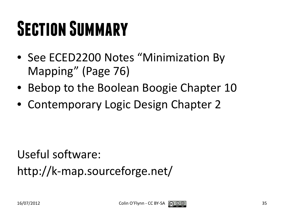# **Section Summary**

- See ECED2200 Notes "Minimization By Mapping" (Page 76)
- Bebop to the Boolean Boogie Chapter 10
- Contemporary Logic Design Chapter 2

Useful software: http://k-map.sourceforge.net/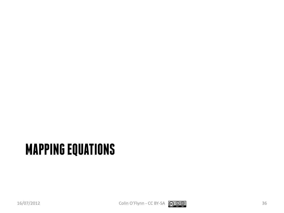### **MAPPING EQUATIONS**

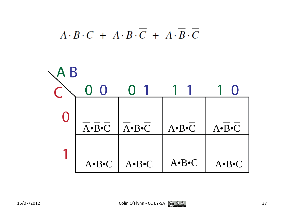

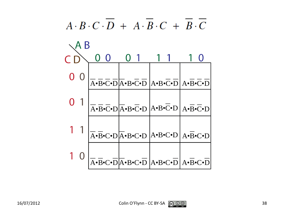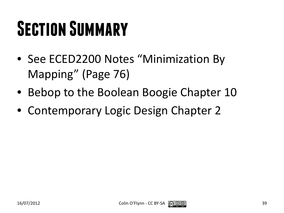# **Section Summary**

- See ECED2200 Notes "Minimization By Mapping" (Page 76)
- Bebop to the Boolean Boogie Chapter 10
- Contemporary Logic Design Chapter 2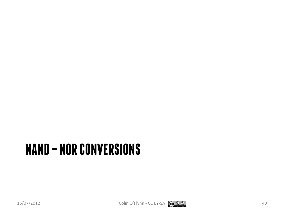#### **NAND – NOR CONVERSIONS**

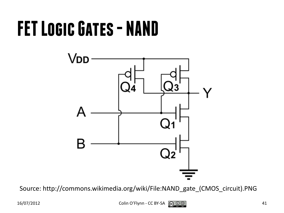# **FET Logic Gates - NAND**



Source: http://commons.wikimedia.org/wiki/File:NAND\_gate\_(CMOS\_circuit).PNG

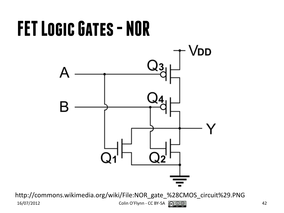# **FET Logic Gates - NOR** Vdd

http://commons.wikimedia.org/wiki/File:NOR\_gate\_%28CMOS\_circuit%29.PNG  $16/07/2012$  Colin O'Flynn - CC BY-SA  $\bigodot_{\mathbf{S} \subseteq \mathcal{S}} \mathbb{Q}$   $\bigodot_{\mathbf{S} \subseteq \mathcal{S}} \mathbb{Q}$  42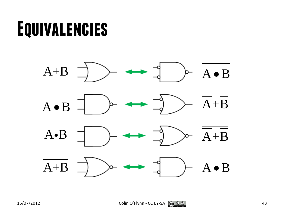# **Equivalencies**

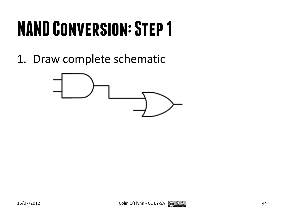1. Draw complete schematic



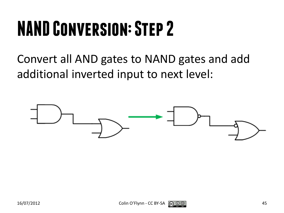Convert all AND gates to NAND gates and add additional inverted input to next level:



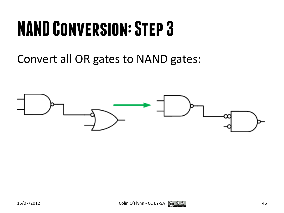Convert all OR gates to NAND gates:



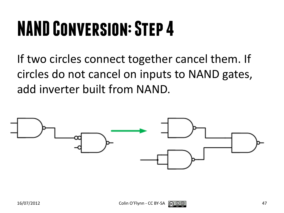If two circles connect together cancel them. If circles do not cancel on inputs to NAND gates, add inverter built from NAND.